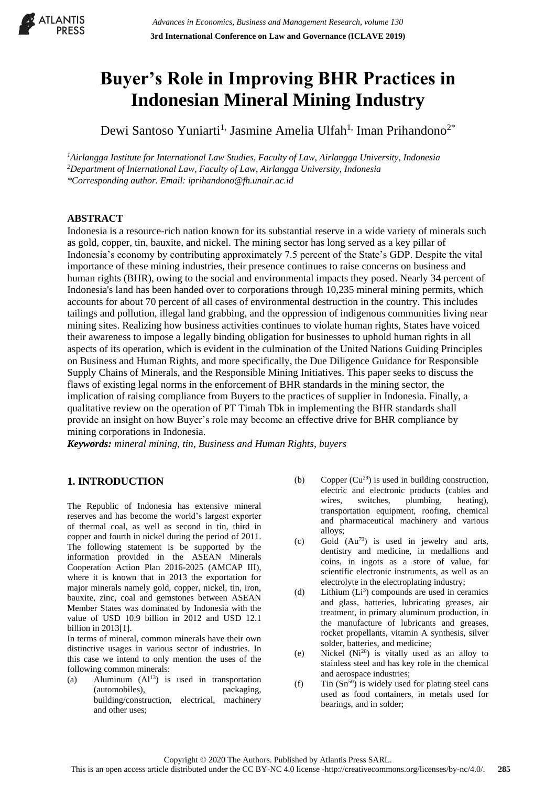# **Buyer's Role in Improving BHR Practices in Indonesian Mineral Mining Industry**

Dewi Santoso Yuniarti<sup>1,</sup> Jasmine Amelia Ulfah<sup>1,</sup> Iman Prihandono<sup>2\*</sup>

*<sup>1</sup>Airlangga Institute for International Law Studies, Faculty of Law, Airlangga University, Indonesia <sup>2</sup>Department of International Law, Faculty of Law, Airlangga University, Indonesia \*Corresponding author. Email: iprihandono@fh.unair.ac.id*

# **ABSTRACT**

Indonesia is a resource-rich nation known for its substantial reserve in a wide variety of minerals such as gold, copper, tin, bauxite, and nickel. The mining sector has long served as a key pillar of Indonesia's economy by contributing approximately 7.5 percent of the State's GDP. Despite the vital importance of these mining industries, their presence continues to raise concerns on business and human rights (BHR), owing to the social and environmental impacts they posed. Nearly 34 percent of Indonesia's land has been handed over to corporations through 10,235 mineral mining permits, which accounts for about 70 percent of all cases of environmental destruction in the country. This includes tailings and pollution, illegal land grabbing, and the oppression of indigenous communities living near mining sites. Realizing how business activities continues to violate human rights, States have voiced their awareness to impose a legally binding obligation for businesses to uphold human rights in all aspects of its operation, which is evident in the culmination of the United Nations Guiding Principles on Business and Human Rights, and more specifically, the Due Diligence Guidance for Responsible Supply Chains of Minerals, and the Responsible Mining Initiatives. This paper seeks to discuss the flaws of existing legal norms in the enforcement of BHR standards in the mining sector, the implication of raising compliance from Buyers to the practices of supplier in Indonesia. Finally, a qualitative review on the operation of PT Timah Tbk in implementing the BHR standards shall provide an insight on how Buyer's role may become an effective drive for BHR compliance by mining corporations in Indonesia.

*Keywords: mineral mining, tin, Business and Human Rights, buyers*

# **1. INTRODUCTION**

The Republic of Indonesia has extensive mineral reserves and has become the world's largest exporter of thermal coal, as well as second in tin, third in copper and fourth in nickel during the period of 2011. The following statement is be supported by the information provided in the ASEAN Minerals Cooperation Action Plan 2016-2025 (AMCAP III), where it is known that in 2013 the exportation for major minerals namely gold, copper, nickel, tin, iron, bauxite, zinc, coal and gemstones between ASEAN Member States was dominated by Indonesia with the value of USD 10.9 billion in 2012 and USD 12.1 billion in 2013[1].

In terms of mineral, common minerals have their own distinctive usages in various sector of industries. In this case we intend to only mention the uses of the following common minerals:

(a) Aluminum  $(A1<sup>13</sup>)$  is used in transportation (automobiles), packaging, building/construction, electrical, machinery and other uses;

- (b) Copper  $(Cu^{29})$  is used in building construction, electric and electronic products (cables and wires, switches, plumbing, heating), transportation equipment, roofing, chemical and pharmaceutical machinery and various alloys;
- (c) Gold  $(Au^{79})$  is used in jewelry and arts, dentistry and medicine, in medallions and coins, in ingots as a store of value, for scientific electronic instruments, as well as an electrolyte in the electroplating industry;
- $(d)$  Lithium  $(L<sup>3</sup>)$  compounds are used in ceramics and glass, batteries, lubricating greases, air treatment, in primary aluminum production, in the manufacture of lubricants and greases, rocket propellants, vitamin A synthesis, silver solder, batteries, and medicine;
- (e) Nickel (Ni<sup>28</sup>) is vitally used as an alloy to stainless steel and has key role in the chemical and aerospace industries;
- (f) Tin  $(Sn^{50})$  is widely used for plating steel cans used as food containers, in metals used for bearings, and in solder;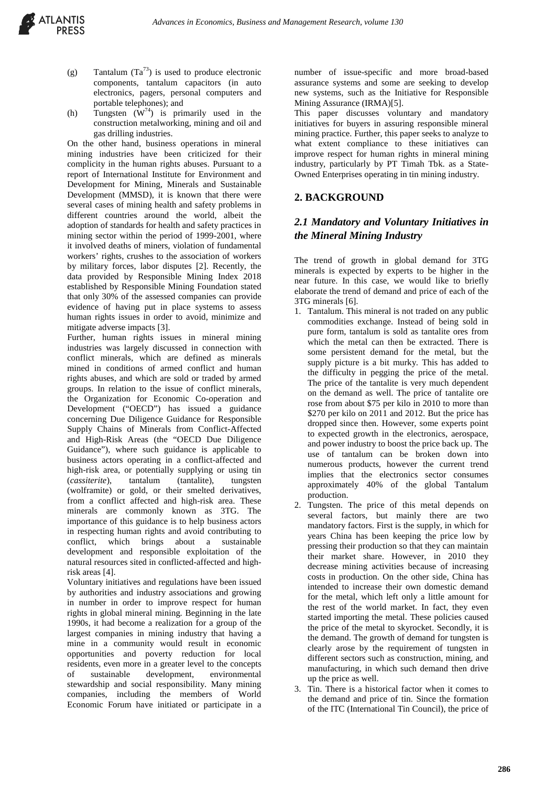- (g) Tantalum  $(Ta^{73})$  is used to produce electronic components, tantalum capacitors (in auto electronics, pagers, personal computers and portable telephones); and
- (h) Tungsten  $(\mathbf{W}^{74})$  is primarily used in the construction metalworking, mining and oil and gas drilling industries.

On the other hand, business operations in mineral mining industries have been criticized for their complicity in the human rights abuses. Pursuant to a report of International Institute for Environment and Development for Mining, Minerals and Sustainable Development (MMSD), it is known that there were several cases of mining health and safety problems in different countries around the world, albeit the adoption of standards for health and safety practices in mining sector within the period of 1999-2001, where it involved deaths of miners, violation of fundamental workers' rights, crushes to the association of workers by military forces, labor disputes [2]. Recently, the data provided by Responsible Mining Index 2018 established by Responsible Mining Foundation stated that only 30% of the assessed companies can provide evidence of having put in place systems to assess human rights issues in order to avoid, minimize and mitigate adverse impacts [3].

Further, human rights issues in mineral mining industries was largely discussed in connection with conflict minerals, which are defined as minerals mined in conditions of armed conflict and human rights abuses, and which are sold or traded by armed groups. In relation to the issue of conflict minerals, the Organization for Economic Co-operation and Development ("OECD") has issued a guidance concerning Due Diligence Guidance for Responsible Supply Chains of Minerals from Conflict-Affected and High-Risk Areas (the "OECD Due Diligence Guidance"), where such guidance is applicable to business actors operating in a conflict-affected and high-risk area, or potentially supplying or using tin (*cassiterite*), tantalum (tantalite), tungsten (wolframite) or gold, or their smelted derivatives, from a conflict affected and high-risk area. These minerals are commonly known as 3TG. The importance of this guidance is to help business actors in respecting human rights and avoid contributing to conflict, which brings about a sustainable development and responsible exploitation of the natural resources sited in conflicted-affected and highrisk areas [4].

Voluntary initiatives and regulations have been issued by authorities and industry associations and growing in number in order to improve respect for human rights in global mineral mining. Beginning in the late 1990s, it had become a realization for a group of the largest companies in mining industry that having a mine in a community would result in economic opportunities and poverty reduction for local residents, even more in a greater level to the concepts of sustainable development, environmental stewardship and social responsibility. Many mining companies, including the members of World Economic Forum have initiated or participate in a

number of issue-specific and more broad-based assurance systems and some are seeking to develop new systems, such as the Initiative for Responsible Mining Assurance (IRMA)[5].

This paper discusses voluntary and mandatory initiatives for buyers in assuring responsible mineral mining practice. Further, this paper seeks to analyze to what extent compliance to these initiatives can improve respect for human rights in mineral mining industry, particularly by PT Timah Tbk. as a State-Owned Enterprises operating in tin mining industry.

## **2. BACKGROUND**

# *2.1 Mandatory and Voluntary Initiatives in the Mineral Mining Industry*

The trend of growth in global demand for 3TG minerals is expected by experts to be higher in the near future. In this case, we would like to briefly elaborate the trend of demand and price of each of the 3TG minerals [6].

- 1. Tantalum. This mineral is not traded on any public commodities exchange. Instead of being sold in pure form, tantalum is sold as tantalite ores from which the metal can then be extracted. There is some persistent demand for the metal, but the supply picture is a bit murky. This has added to the difficulty in pegging the price of the metal. The price of the tantalite is very much dependent on the demand as well. The price of tantalite ore rose from about \$75 per kilo in 2010 to more than \$270 per kilo on 2011 and 2012. But the price has dropped since then. However, some experts point to expected growth in the electronics, aerospace, and power industry to boost the price back up. The use of tantalum can be broken down into numerous products, however the current trend implies that the electronics sector consumes approximately 40% of the global Tantalum production.
- 2. Tungsten. The price of this metal depends on several factors, but mainly there are two mandatory factors. First is the supply, in which for years China has been keeping the price low by pressing their production so that they can maintain their market share. However, in 2010 they decrease mining activities because of increasing costs in production. On the other side, China has intended to increase their own domestic demand for the metal, which left only a little amount for the rest of the world market. In fact, they even started importing the metal. These policies caused the price of the metal to skyrocket. Secondly, it is the demand. The growth of demand for tungsten is clearly arose by the requirement of tungsten in different sectors such as construction, mining, and manufacturing, in which such demand then drive up the price as well.
- 3. Tin. There is a historical factor when it comes to the demand and price of tin. Since the formation of the ITC (International Tin Council), the price of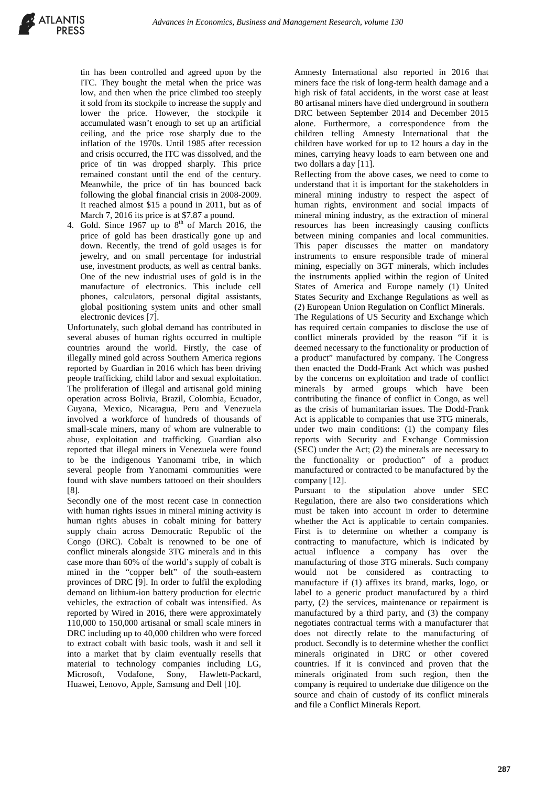

tin has been controlled and agreed upon by the ITC. They bought the metal when the price was low, and then when the price climbed too steeply it sold from its stockpile to increase the supply and lower the price. However, the stockpile it accumulated wasn't enough to set up an artificial ceiling, and the price rose sharply due to the inflation of the 1970s. Until 1985 after recession and crisis occurred, the ITC was dissolved, and the price of tin was dropped sharply. This price remained constant until the end of the century. Meanwhile, the price of tin has bounced back following the global financial crisis in 2008-2009. It reached almost \$15 a pound in 2011, but as of March 7, 2016 its price is at \$7.87 a pound.

4. Gold. Since  $1967$  up to  $8<sup>th</sup>$  of March 2016, the price of gold has been drastically gone up and down. Recently, the trend of gold usages is for jewelry, and on small percentage for industrial use, investment products, as well as central banks. One of the new industrial uses of gold is in the manufacture of electronics. This include cell phones, calculators, personal digital assistants, global positioning system units and other small electronic devices [7].

Unfortunately, such global demand has contributed in several abuses of human rights occurred in multiple countries around the world. Firstly, the case of illegally mined gold across Southern America regions reported by Guardian in 2016 which has been driving people trafficking, child labor and sexual exploitation. The proliferation of illegal and artisanal gold mining operation across Bolivia, Brazil, Colombia, Ecuador, Guyana, Mexico, Nicaragua, Peru and Venezuela involved a workforce of hundreds of thousands of small-scale miners, many of whom are vulnerable to abuse, exploitation and trafficking. Guardian also reported that illegal miners in Venezuela were found to be the indigenous Yanomami tribe, in which several people from Yanomami communities were found with slave numbers tattooed on their shoulders [8].

Secondly one of the most recent case in connection with human rights issues in mineral mining activity is human rights abuses in cobalt mining for battery supply chain across Democratic Republic of the Congo (DRC). Cobalt is renowned to be one of conflict minerals alongside 3TG minerals and in this case more than 60% of the world's supply of cobalt is mined in the "copper belt" of the south-eastern provinces of DRC [9]. In order to fulfil the exploding demand on lithium-ion battery production for electric vehicles, the extraction of cobalt was intensified. As reported by Wired in 2016, there were approximately 110,000 to 150,000 artisanal or small scale miners in DRC including up to 40,000 children who were forced to extract cobalt with basic tools, wash it and sell it into a market that by claim eventually resells that material to technology companies including LG, Microsoft, Vodafone, Sony, Hawlett-Packard, Huawei, Lenovo, Apple, Samsung and Dell [10].

Amnesty International also reported in 2016 that miners face the risk of long-term health damage and a high risk of fatal accidents, in the worst case at least 80 artisanal miners have died underground in southern DRC between September 2014 and December 2015 alone. Furthermore, a correspondence from the children telling Amnesty International that the children have worked for up to 12 hours a day in the mines, carrying heavy loads to earn between one and two dollars a day [11].

Reflecting from the above cases, we need to come to understand that it is important for the stakeholders in mineral mining industry to respect the aspect of human rights, environment and social impacts of mineral mining industry, as the extraction of mineral resources has been increasingly causing conflicts between mining companies and local communities. This paper discusses the matter on mandatory instruments to ensure responsible trade of mineral mining, especially on 3GT minerals, which includes the instruments applied within the region of United States of America and Europe namely (1) United States Security and Exchange Regulations as well as (2) European Union Regulation on Conflict Minerals.

The Regulations of US Security and Exchange which has required certain companies to disclose the use of conflict minerals provided by the reason "if it is deemed necessary to the functionality or production of a product" manufactured by company. The Congress then enacted the Dodd-Frank Act which was pushed by the concerns on exploitation and trade of conflict minerals by armed groups which have been contributing the finance of conflict in Congo, as well as the crisis of humanitarian issues. The Dodd-Frank Act is applicable to companies that use 3TG minerals, under two main conditions: (1) the company files reports with Security and Exchange Commission (SEC) under the Act; (2) the minerals are necessary to the functionality or production" of a product manufactured or contracted to be manufactured by the company [12].

Pursuant to the stipulation above under SEC Regulation, there are also two considerations which must be taken into account in order to determine whether the Act is applicable to certain companies. First is to determine on whether a company is contracting to manufacture, which is indicated by actual influence a company has over the manufacturing of those 3TG minerals. Such company would not be considered as contracting to manufacture if (1) affixes its brand, marks, logo, or label to a generic product manufactured by a third party, (2) the services, maintenance or repairment is manufactured by a third party, and (3) the company negotiates contractual terms with a manufacturer that does not directly relate to the manufacturing of product. Secondly is to determine whether the conflict minerals originated in DRC or other covered countries. If it is convinced and proven that the minerals originated from such region, then the company is required to undertake due diligence on the source and chain of custody of its conflict minerals and file a Conflict Minerals Report.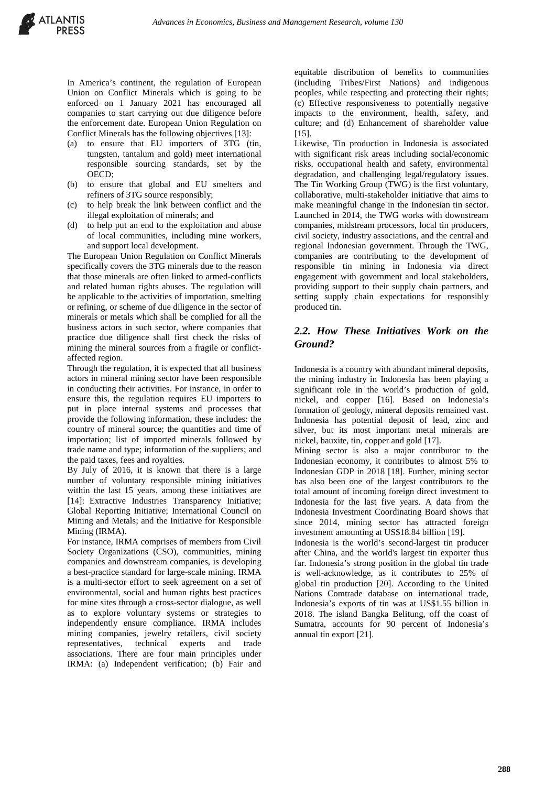In America's continent, the regulation of European Union on Conflict Minerals which is going to be enforced on 1 January 2021 has encouraged all companies to start carrying out due diligence before the enforcement date. European Union Regulation on Conflict Minerals has the following objectives [13]:

- (a) to ensure that EU importers of 3TG (tin, tungsten, tantalum and gold) meet international responsible sourcing standards, set by the OECD;
- (b) to ensure that global and EU smelters and refiners of 3TG source responsibly;
- (c) to help break the link between conflict and the illegal exploitation of minerals; and
- (d) to help put an end to the exploitation and abuse of local communities, including mine workers, and support local development.

The European Union Regulation on Conflict Minerals specifically covers the 3TG minerals due to the reason that those minerals are often linked to armed-conflicts and related human rights abuses. The regulation will be applicable to the activities of importation, smelting or refining, or scheme of due diligence in the sector of minerals or metals which shall be complied for all the business actors in such sector, where companies that practice due diligence shall first check the risks of mining the mineral sources from a fragile or conflictaffected region.

Through the regulation, it is expected that all business actors in mineral mining sector have been responsible in conducting their activities. For instance, in order to ensure this, the regulation requires EU importers to put in place internal systems and processes that provide the following information, these includes: the country of mineral source; the quantities and time of importation; list of imported minerals followed by trade name and type; information of the suppliers; and the paid taxes, fees and royalties.

By July of 2016, it is known that there is a large number of voluntary responsible mining initiatives within the last 15 years, among these initiatives are [14]: Extractive Industries Transparency Initiative; Global Reporting Initiative; International Council on Mining and Metals; and the Initiative for Responsible Mining (IRMA).

For instance, IRMA comprises of members from Civil Society Organizations (CSO), communities, mining companies and downstream companies, is developing a best-practice standard for large-scale mining. IRMA is a multi-sector effort to seek agreement on a set of environmental, social and human rights best practices for mine sites through a cross-sector dialogue, as well as to explore voluntary systems or strategies to independently ensure compliance. IRMA includes mining companies, jewelry retailers, civil society representatives, technical experts and trade associations. There are four main principles under IRMA: (a) Independent verification; (b) Fair and

equitable distribution of benefits to communities (including Tribes/First Nations) and indigenous peoples, while respecting and protecting their rights; (c) Effective responsiveness to potentially negative impacts to the environment, health, safety, and culture; and (d) Enhancement of shareholder value [15].

Likewise, Tin production in Indonesia is associated with significant risk areas including social/economic risks, occupational health and safety, environmental degradation, and challenging legal/regulatory issues. The Tin Working Group (TWG) is the first voluntary, collaborative, multi-stakeholder initiative that aims to make meaningful change in the Indonesian tin sector. Launched in 2014, the TWG works with downstream companies, midstream processors, local tin producers, civil society, industry associations, and the central and regional Indonesian government. Through the TWG, companies are contributing to the development of responsible tin mining in Indonesia via direct engagement with government and local stakeholders, providing support to their supply chain partners, and setting supply chain expectations for responsibly produced tin.

## *2.2. How These Initiatives Work on the Ground?*

Indonesia is a country with abundant mineral deposits, the mining industry in Indonesia has been playing a significant role in the world's production of gold, nickel, and copper [16]. Based on Indonesia's formation of geology, mineral deposits remained vast. Indonesia has potential deposit of lead, zinc and silver, but its most important metal minerals are nickel, bauxite, tin, copper and gold [17].

Mining sector is also a major contributor to the Indonesian economy, it contributes to almost 5% to Indonesian GDP in 2018 [18]. Further, mining sector has also been one of the largest contributors to the total amount of incoming foreign direct investment to Indonesia for the last five years. A data from the Indonesia Investment Coordinating Board shows that since 2014, mining sector has attracted foreign investment amounting at US\$18.84 billion [19].

Indonesia is the world's second-largest tin producer after China, and the world's largest tin exporter thus far. Indonesia's strong position in the global tin trade is well-acknowledge, as it contributes to 25% of global tin production [20]. According to the United Nations Comtrade database on international trade, Indonesia's exports of tin was at US\$1.55 billion in 2018. The island Bangka Belitung, off the coast of Sumatra, accounts for 90 percent of Indonesia's annual tin export [21].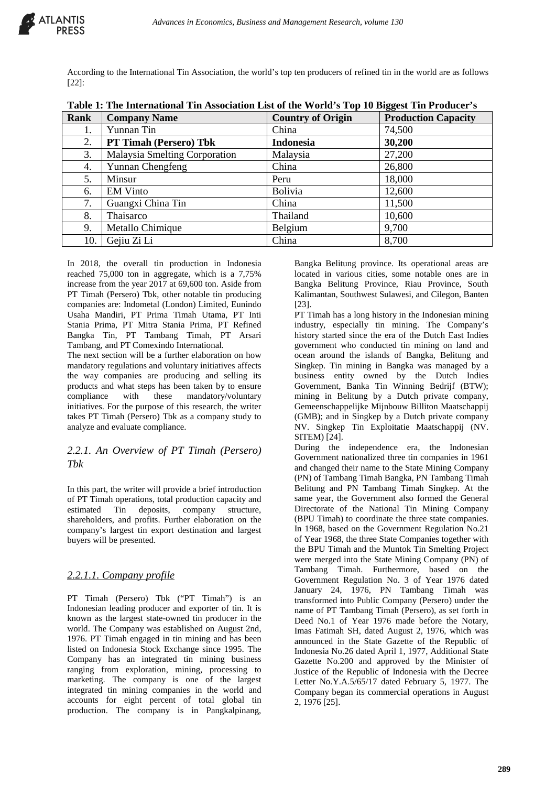

According to the International Tin Association, the world's top ten producers of refined tin in the world are as follows [22]:

| Rank | <b>Company Name</b>           | <b>Country of Origin</b> | 88.<br><b>Production Capacity</b> |
|------|-------------------------------|--------------------------|-----------------------------------|
| 1.   | Yunnan Tin                    | China                    | 74,500                            |
| 2.   | PT Timah (Persero) Tbk        | <b>Indonesia</b>         | 30,200                            |
| 3.   | Malaysia Smelting Corporation | Malaysia                 | 27,200                            |
| 4.   | Yunnan Chengfeng              | China                    | 26,800                            |
| 5.   | Minsur                        | Peru                     | 18,000                            |
| 6.   | <b>EM Vinto</b>               | Bolivia                  | 12,600                            |
| 7.   | Guangxi China Tin             | China                    | 11,500                            |
| 8.   | Thaisarco                     | Thailand                 | 10,600                            |
| 9.   | Metallo Chimique              | Belgium                  | 9,700                             |
| 10.  | Gejiu Zi Li                   | China                    | 8,700                             |

**Table 1: The International Tin Association List of the World's Top 10 Biggest Tin Producer's**

In 2018, the overall tin production in Indonesia reached 75,000 ton in aggregate, which is a 7,75% increase from the year 2017 at 69,600 ton. Aside from PT Timah (Persero) Tbk, other notable tin producing companies are: Indometal (London) Limited, Eunindo Usaha Mandiri, PT Prima Timah Utama, PT Inti Stania Prima, PT Mitra Stania Prima, PT Refined Bangka Tin, PT Tambang Timah, PT Arsari Tambang, and PT Comexindo International.

The next section will be a further elaboration on how mandatory regulations and voluntary initiatives affects the way companies are producing and selling its products and what steps has been taken by to ensure compliance with these mandatory/voluntary initiatives. For the purpose of this research, the writer takes PT Timah (Persero) Tbk as a company study to analyze and evaluate compliance.

## *2.2.1. An Overview of PT Timah (Persero) Tbk*

In this part, the writer will provide a brief introduction of PT Timah operations, total production capacity and estimated Tin deposits, company structure, shareholders, and profits. Further elaboration on the company's largest tin export destination and largest buyers will be presented.

# *2.2.1.1. Company profile*

PT Timah (Persero) Tbk ("PT Timah") is an Indonesian leading producer and exporter of tin. It is known as the largest state-owned tin producer in the world. The Company was established on August 2nd, 1976. PT Timah engaged in tin mining and has been listed on Indonesia Stock Exchange since 1995. The Company has an integrated tin mining business ranging from exploration, mining, processing to marketing. The company is one of the largest integrated tin mining companies in the world and accounts for eight percent of total global tin production. The company is in Pangkalpinang,

Bangka Belitung province. Its operational areas are located in various cities, some notable ones are in Bangka Belitung Province, Riau Province, South Kalimantan, Southwest Sulawesi, and Cilegon, Banten [23].

PT Timah has a long history in the Indonesian mining industry, especially tin mining. The Company's history started since the era of the Dutch East Indies government who conducted tin mining on land and ocean around the islands of Bangka, Belitung and Singkep. Tin mining in Bangka was managed by a business entity owned by the Dutch Indies Government, Banka Tin Winning Bedrijf (BTW); mining in Belitung by a Dutch private company. Gemeenschappelijke Mijnbouw Billiton Maatschappij (GMB); and in Singkep by a Dutch private company NV. Singkep Tin Exploitatie Maatschappij (NV. SITEM) [24].

During the independence era, the Indonesian Government nationalized three tin companies in 1961 and changed their name to the State Mining Company (PN) of Tambang Timah Bangka, PN Tambang Timah Belitung and PN Tambang Timah Singkep. At the same year, the Government also formed the General Directorate of the National Tin Mining Company (BPU Timah) to coordinate the three state companies. In 1968, based on the Government Regulation No.21 of Year 1968, the three State Companies together with the BPU Timah and the Muntok Tin Smelting Project were merged into the State Mining Company (PN) of Tambang Timah. Furthermore, based on the Government Regulation No. 3 of Year 1976 dated January 24, 1976, PN Tambang Timah was transformed into Public Company (Persero) under the name of PT Tambang Timah (Persero), as set forth in Deed No.1 of Year 1976 made before the Notary, Imas Fatimah SH, dated August 2, 1976, which was announced in the State Gazette of the Republic of Indonesia No.26 dated April 1, 1977, Additional State Gazette No.200 and approved by the Minister of Justice of the Republic of Indonesia with the Decree Letter No.Y.A.5/65/17 dated February 5, 1977. The Company began its commercial operations in August 2, 1976 [25].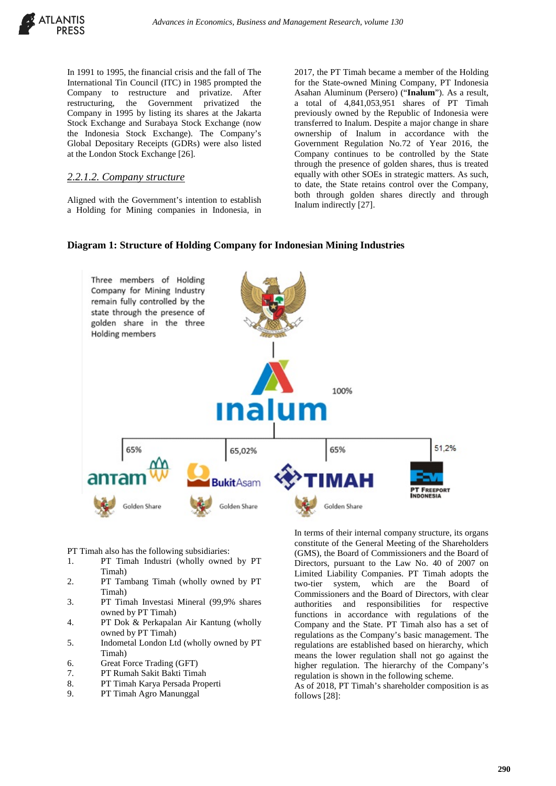

In 1991 to 1995, the financial crisis and the fall of The International Tin Council (ITC) in 1985 prompted the Company to restructure and privatize. After restructuring, the Government privatized the Company in 1995 by listing its shares at the Jakarta Stock Exchange and Surabaya Stock Exchange (now the Indonesia Stock Exchange). The Company's Global Depositary Receipts (GDRs) were also listed at the London Stock Exchange [26].

#### *2.2.1.2. Company structure*

Aligned with the Government's intention to establish a Holding for Mining companies in Indonesia, in

2017, the PT Timah became a member of the Holding for the State-owned Mining Company, PT Indonesia Asahan Aluminum (Persero) ("**Inalum**"). As a result, a total of 4,841,053,951 shares of PT Timah previously owned by the Republic of Indonesia were transferred to Inalum. Despite a major change in share ownership of Inalum in accordance with the Government Regulation No.72 of Year 2016, the Company continues to be controlled by the State through the presence of golden shares, thus is treated equally with other SOEs in strategic matters. As such, to date, the State retains control over the Company, both through golden shares directly and through Inalum indirectly [27].

#### **Diagram 1: Structure of Holding Company for Indonesian Mining Industries**



PT Timah also has the following subsidiaries:

- 1. PT Timah Industri (wholly owned by PT Timah)
- 2. PT Tambang Timah (wholly owned by PT Timah)
- 3. PT Timah Investasi Mineral (99,9% shares owned by PT Timah)
- 4. PT Dok & Perkapalan Air Kantung (wholly owned by PT Timah)
- 5. Indometal London Ltd (wholly owned by PT Timah)
- 6. Great Force Trading (GFT)
- 7. PT Rumah Sakit Bakti Timah
- 8. PT Timah Karya Persada Properti
- 9. PT Timah Agro Manunggal

In terms of their internal company structure, its organs constitute of the General Meeting of the Shareholders (GMS), the Board of Commissioners and the Board of Directors, pursuant to the Law No. 40 of 2007 on Limited Liability Companies. PT Timah adopts the two-tier system, which are the Board of Commissioners and the Board of Directors, with clear authorities and responsibilities for respective functions in accordance with regulations of the Company and the State. PT Timah also has a set of regulations as the Company's basic management. The regulations are established based on hierarchy, which means the lower regulation shall not go against the higher regulation. The hierarchy of the Company's regulation is shown in the following scheme.

As of 2018, PT Timah's shareholder composition is as follows [28]: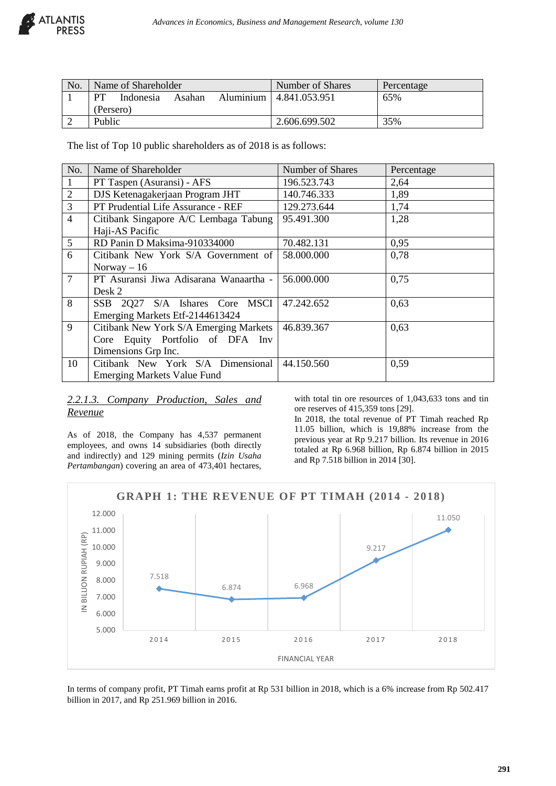

| No. | Name of Shareholder |           |        |  | Number of Shares         | Percentage |
|-----|---------------------|-----------|--------|--|--------------------------|------------|
|     | <b>PT</b>           | Indonesia | Asahan |  | Aluminium 14.841.053.951 | 65%        |
|     | (Persero)           |           |        |  |                          |            |
|     | Public              |           |        |  | 2.606.699.502            | 35%        |

The list of Top 10 public shareholders as of 2018 is as follows:

| No.             | Name of Shareholder                    | Number of Shares | Percentage |  |  |  |
|-----------------|----------------------------------------|------------------|------------|--|--|--|
| $\mathbf{1}$    | PT Taspen (Asuransi) - AFS             | 196.523.743      | 2,64       |  |  |  |
| $\sqrt{2}$      | DJS Ketenagakerjaan Program JHT        | 140.746.333      | 1,89       |  |  |  |
| $\overline{3}$  | PT Prudential Life Assurance - REF     | 129.273.644      | 1,74       |  |  |  |
| $\overline{4}$  | Citibank Singapore A/C Lembaga Tabung  | 95.491.300       | 1,28       |  |  |  |
|                 | Haji-AS Pacific                        |                  |            |  |  |  |
| 5               | RD Panin D Maksima-910334000           | 70.482.131       | 0,95       |  |  |  |
| 6               | Citibank New York S/A Government of    | 58.000.000       | 0,78       |  |  |  |
|                 | Norway $-16$                           |                  |            |  |  |  |
| $7\phantom{.0}$ | PT Asuransi Jiwa Adisarana Wanaartha - | 56.000.000       | 0,75       |  |  |  |
|                 | Desk 2                                 |                  |            |  |  |  |
| 8               | SSB 2Q27 S/A Ishares Core MSCI         | 47.242.652       | 0,63       |  |  |  |
|                 | Emerging Markets Etf-2144613424        |                  |            |  |  |  |
| 9               | Citibank New York S/A Emerging Markets | 46.839.367       | 0,63       |  |  |  |
|                 | Core Equity Portfolio of DFA Inv       |                  |            |  |  |  |
|                 | Dimensions Grp Inc.                    |                  |            |  |  |  |
| 10              | Citibank New York S/A Dimensional      | 44.150.560       | 0,59       |  |  |  |
|                 | <b>Emerging Markets Value Fund</b>     |                  |            |  |  |  |

## *2.2.1.3. Company Production, Sales and Revenue*

As of 2018, the Company has 4,537 permanent employees, and owns 14 subsidiaries (both directly and indirectly) and 129 mining permits (*Izin Usaha Pertambangan*) covering an area of 473,401 hectares, with total tin ore resources of 1,043,633 tons and tin ore reserves of 415,359 tons [29].

In 2018, the total revenue of PT Timah reached Rp 11.05 billion, which is 19,88% increase from the previous year at Rp 9.217 billion. Its revenue in 2016 totaled at Rp 6.968 billion, Rp 6.874 billion in 2015 and Rp 7.518 billion in 2014 [30].



In terms of company profit, PT Timah earns profit at Rp 531 billion in 2018, which is a 6% increase from Rp 502.417 billion in 2017, and Rp 251.969 billion in 2016.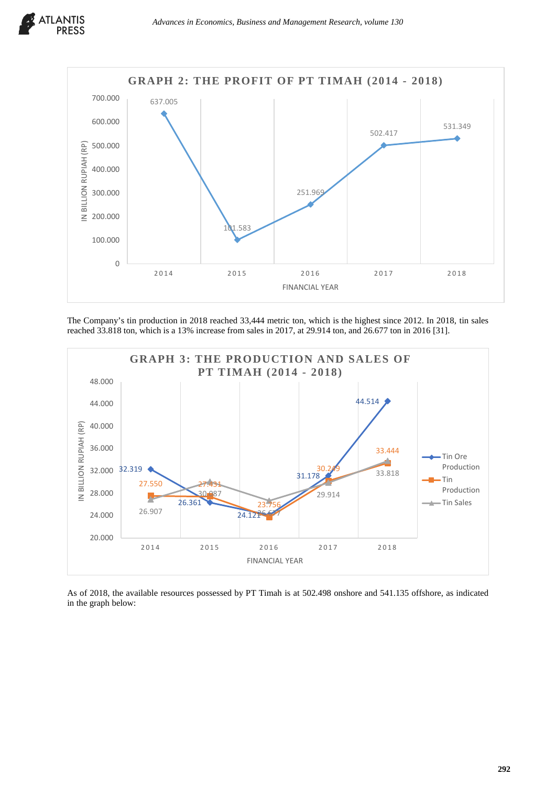

The Company's tin production in 2018 reached 33,444 metric ton, which is the highest since 2012. In 2018, tin sales reached 33.818 ton, which is a 13% increase from sales in 2017, at 29.914 ton, and 26.677 ton in 2016 [31].



As of 2018, the available resources possessed by PT Timah is at 502.498 onshore and 541.135 offshore, as indicated in the graph below: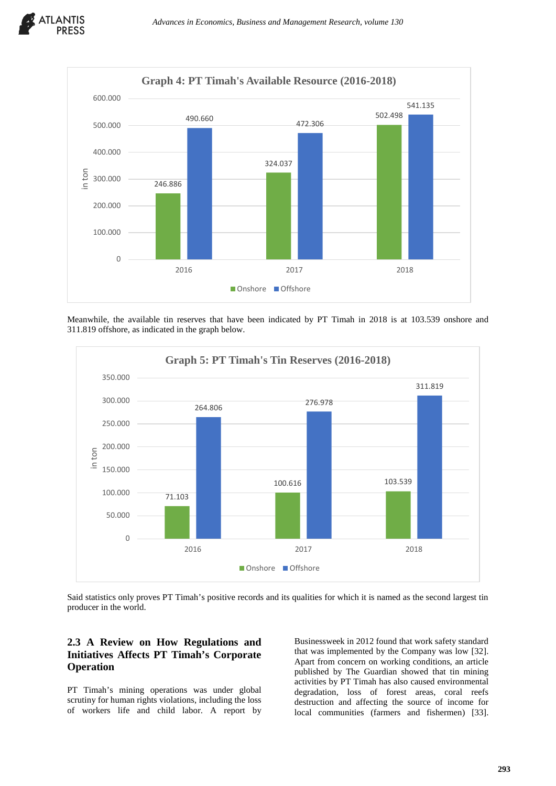



Meanwhile, the available tin reserves that have been indicated by PT Timah in 2018 is at 103.539 onshore and 311.819 offshore, as indicated in the graph below.



Said statistics only proves PT Timah's positive records and its qualities for which it is named as the second largest tin producer in the world.

# **2.3 A Review on How Regulations and Initiatives Affects PT Timah's Corporate Operation**

PT Timah's mining operations was under global scrutiny for human rights violations, including the loss of workers life and child labor. A report by

Businessweek in 2012 found that work safety standard that was implemented by the Company was low [32]. Apart from concern on working conditions, an article published by The Guardian showed that tin mining activities by PT Timah has also caused environmental degradation, loss of forest areas, coral reefs destruction and affecting the source of income for local communities (farmers and fishermen) [33].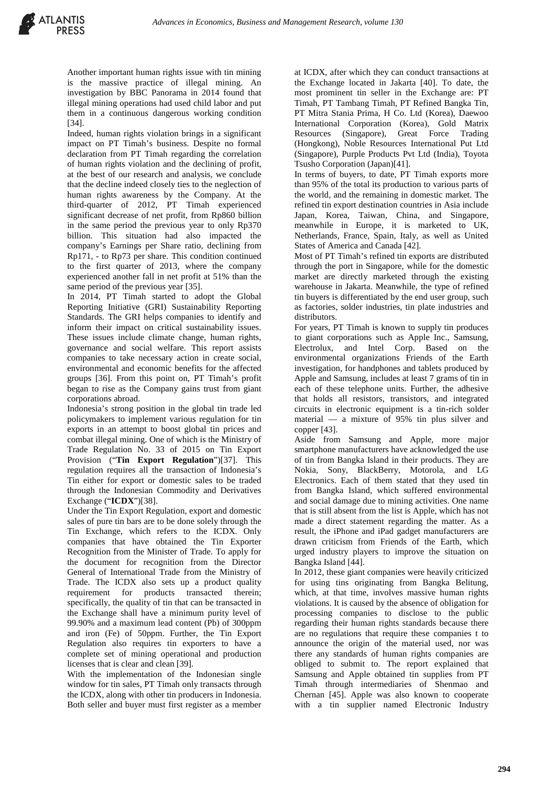Another important human rights issue with tin mining is the massive practice of illegal mining. An investigation by BBC Panorama in 2014 found that illegal mining operations had used child labor and put them in a continuous dangerous working condition [34].

Indeed, human rights violation brings in a significant impact on PT Timah's business. Despite no formal declaration from PT Timah regarding the correlation of human rights violation and the declining of profit, at the best of our research and analysis, we conclude that the decline indeed closely ties to the neglection of human rights awareness by the Company. At the third-quarter of 2012, PT Timah experienced significant decrease of net profit, from Rp860 billion in the same period the previous year to only Rp370 billion. This situation had also impacted the company's Earnings per Share ratio, declining from Rp171, - to Rp73 per share. This condition continued to the first quarter of 2013, where the company experienced another fall in net profit at 51% than the same period of the previous year [35].

In 2014, PT Timah started to adopt the Global Reporting Initiative (GRI) Sustainability Reporting Standards. The GRI helps companies to identify and inform their impact on critical sustainability issues. These issues include climate change, human rights, governance and social welfare. This report assists companies to take necessary action in create social, environmental and economic benefits for the affected groups [36]. From this point on, PT Timah's profit began to rise as the Company gains trust from giant corporations abroad.

Indonesia's strong position in the global tin trade led policymakers to implement various regulation for tin exports in an attempt to boost global tin prices and combat illegal mining. One of which is the Ministry of Trade Regulation No. 33 of 2015 on Tin Export Provision ("**Tin Export Regulation**")[37]. This regulation requires all the transaction of Indonesia's Tin either for export or domestic sales to be traded through the Indonesian Commodity and Derivatives Exchange ("**ICDX**")[38].

Under the Tin Export Regulation, export and domestic sales of pure tin bars are to be done solely through the Tin Exchange, which refers to the ICDX. Only companies that have obtained the Tin Exporter Recognition from the Minister of Trade. To apply for the document for recognition from the Director General of International Trade from the Ministry of Trade. The ICDX also sets up a product quality requirement for products transacted therein; specifically, the quality of tin that can be transacted in the Exchange shall have a minimum purity level of 99.90% and a maximum lead content (Pb) of 300ppm and iron (Fe) of 50ppm. Further, the Tin Export Regulation also requires tin exporters to have a complete set of mining operational and production licenses that is clear and clean [39].

With the implementation of the Indonesian single window for tin sales, PT Timah only transacts through the ICDX, along with other tin producers in Indonesia. Both seller and buyer must first register as a member

at ICDX, after which they can conduct transactions at the Exchange located in Jakarta [40]. To date, the most prominent tin seller in the Exchange are: PT Timah, PT Tambang Timah, PT Refined Bangka Tin, PT Mitra Stania Prima, H Co. Ltd (Korea), Daewoo International Corporation (Korea), Gold Matrix Resources (Singapore), Great Force Trading (Hongkong), Noble Resources International Put Ltd (Singapore), Purple Products Pvt Ltd (India), Toyota Tsusho Corporation (Japan)[41].

In terms of buyers, to date, PT Timah exports more than 95% of the total its production to various parts of the world, and the remaining in domestic market. The refined tin export destination countries in Asia include Japan, Korea, Taiwan, China, and Singapore, meanwhile in Europe, it is marketed to UK, Netherlands, France, Spain, Italy, as well as United States of America and Canada [42].

Most of PT Timah's refined tin exports are distributed through the port in Singapore, while for the domestic market are directly marketed through the existing warehouse in Jakarta. Meanwhile, the type of refined tin buyers is differentiated by the end user group, such as factories, solder industries, tin plate industries and distributors.

For years, PT Timah is known to supply tin produces to giant corporations such as Apple Inc., Samsung, Electrolux, and Intel Corp. Based on the environmental organizations Friends of the Earth investigation, for handphones and tablets produced by Apple and Samsung, includes at least 7 grams of tin in each of these telephone units. Further, the adhesive that holds all resistors, transistors, and integrated circuits in electronic equipment is a tin-rich solder material — a mixture of 95% tin plus silver and copper [43].

Aside from Samsung and Apple, more major smartphone manufacturers have acknowledged the use of tin from Bangka Island in their products. They are Nokia, Sony, BlackBerry, Motorola, and LG Electronics. Each of them stated that they used tin from Bangka Island, which suffered environmental and social damage due to mining activities. One name that is still absent from the list is Apple, which has not made a direct statement regarding the matter. As a result, the iPhone and iPad gadget manufacturers are drawn criticism from Friends of the Earth, which urged industry players to improve the situation on Bangka Island [44].

In 2012, these giant companies were heavily criticized for using tins originating from Bangka Belitung, which, at that time, involves massive human rights violations. It is caused by the absence of obligation for processing companies to disclose to the public regarding their human rights standards because there are no regulations that require these companies t to announce the origin of the material used, nor was there any standards of human rights companies are obliged to submit to. The report explained that Samsung and Apple obtained tin supplies from PT Timah through intermediaries of Shenmao and Chernan [45]. Apple was also known to cooperate with a tin supplier named Electronic Industry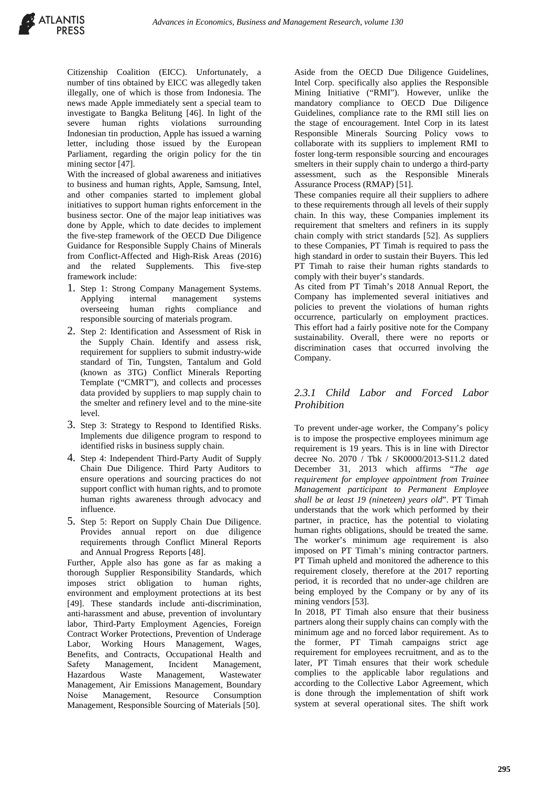

Citizenship Coalition (EICC). Unfortunately, a number of tins obtained by EICC was allegedly taken illegally, one of which is those from Indonesia. The news made Apple immediately sent a special team to investigate to Bangka Belitung [46]. In light of the severe human rights violations surrounding Indonesian tin production, Apple has issued a warning letter, including those issued by the European Parliament, regarding the origin policy for the tin mining sector [47].

With the increased of global awareness and initiatives to business and human rights, Apple, Samsung, Intel, and other companies started to implement global initiatives to support human rights enforcement in the business sector. One of the major leap initiatives was done by Apple, which to date decides to implement the five-step framework of the OECD Due Diligence Guidance for Responsible Supply Chains of Minerals from Conflict-Affected and High-Risk Areas (2016) and the related Supplements. This five-step framework include:

- 1. Step 1: Strong Company Management Systems. Applying internal management systems overseeing human rights compliance and responsible sourcing of materials program.
- 2. Step 2: Identification and Assessment of Risk in the Supply Chain. Identify and assess risk, requirement for suppliers to submit industry-wide standard of Tin, Tungsten, Tantalum and Gold (known as 3TG) Conflict Minerals Reporting Template ("CMRT"), and collects and processes data provided by suppliers to map supply chain to the smelter and refinery level and to the mine-site level.
- 3. Step 3: Strategy to Respond to Identified Risks. Implements due diligence program to respond to identified risks in business supply chain.
- 4. Step 4: Independent Third-Party Audit of Supply Chain Due Diligence. Third Party Auditors to ensure operations and sourcing practices do not support conflict with human rights, and to promote human rights awareness through advocacy and influence.
- 5. Step 5: Report on Supply Chain Due Diligence. Provides annual report on due diligence requirements through Conflict Mineral Reports and Annual Progress Reports [48].

Further, Apple also has gone as far as making a thorough Supplier Responsibility Standards, which imposes strict obligation to human rights, environment and employment protections at its best [49]. These standards include anti-discrimination, anti-harassment and abuse, prevention of involuntary labor, Third-Party Employment Agencies, Foreign Contract Worker Protections, Prevention of Underage Labor, Working Hours Management, Wages, Benefits, and Contracts, Occupational Health and Safety Management, Incident Management, Hazardous Waste Management, Wastewater Management, Air Emissions Management, Boundary Noise Management, Resource Consumption Management, Responsible Sourcing of Materials [50].

Aside from the OECD Due Diligence Guidelines, Intel Corp. specifically also applies the Responsible Mining Initiative ("RMI"). However, unlike the mandatory compliance to OECD Due Diligence Guidelines, compliance rate to the RMI still lies on the stage of encouragement. Intel Corp in its latest Responsible Minerals Sourcing Policy vows to collaborate with its suppliers to implement RMI to foster long-term responsible sourcing and encourages smelters in their supply chain to undergo a third-party assessment, such as the Responsible Minerals Assurance Process (RMAP) [51].

These companies require all their suppliers to adhere to these requirements through all levels of their supply chain. In this way, these Companies implement its requirement that smelters and refiners in its supply chain comply with strict standards [52]. As suppliers to these Companies, PT Timah is required to pass the high standard in order to sustain their Buyers. This led PT Timah to raise their human rights standards to comply with their buyer's standards.

As cited from PT Timah's 2018 Annual Report, the Company has implemented several initiatives and policies to prevent the violations of human rights occurrence, particularly on employment practices. This effort had a fairly positive note for the Company sustainability. Overall, there were no reports or discrimination cases that occurred involving the Company.

## *2.3.1 Child Labor and Forced Labor Prohibition*

To prevent under-age worker, the Company's policy is to impose the prospective employees minimum age requirement is 19 years. This is in line with Director decree No. 2070 / Tbk / SK0000/2013-S11.2 dated December 31, 2013 which affirms "*The age requirement for employee appointment from Trainee Management participant to Permanent Employee shall be at least 19 (nineteen) years old*". PT Timah understands that the work which performed by their partner, in practice, has the potential to violating human rights obligations, should be treated the same. The worker's minimum age requirement is also imposed on PT Timah's mining contractor partners. PT Timah upheld and monitored the adherence to this requirement closely, therefore at the 2017 reporting period, it is recorded that no under-age children are being employed by the Company or by any of its mining vendors [53].

In 2018, PT Timah also ensure that their business partners along their supply chains can comply with the minimum age and no forced labor requirement. As to the former, PT Timah campaigns strict age requirement for employees recruitment, and as to the later, PT Timah ensures that their work schedule complies to the applicable labor regulations and according to the Collective Labor Agreement, which is done through the implementation of shift work system at several operational sites. The shift work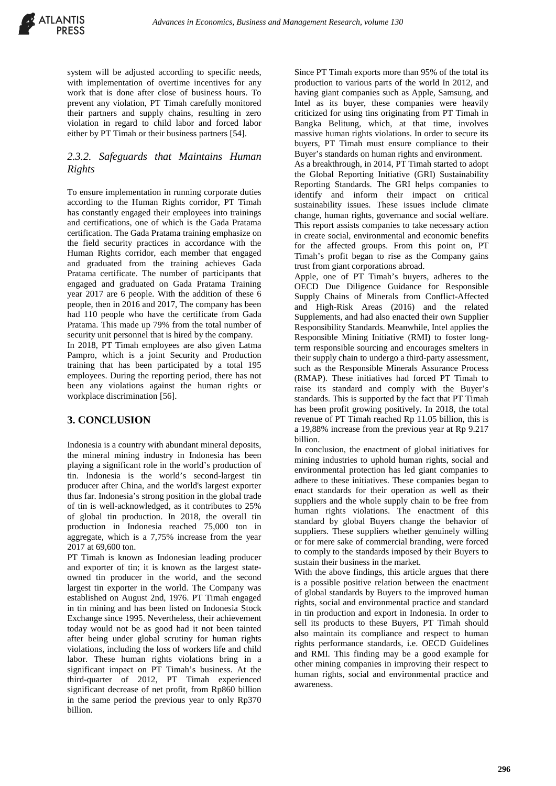system will be adjusted according to specific needs, with implementation of overtime incentives for any work that is done after close of business hours. To prevent any violation, PT Timah carefully monitored their partners and supply chains, resulting in zero violation in regard to child labor and forced labor either by PT Timah or their business partners [54].

### *2.3.2. Safeguards that Maintains Human Rights*

To ensure implementation in running corporate duties according to the Human Rights corridor, PT Timah has constantly engaged their employees into trainings and certifications, one of which is the Gada Pratama certification. The Gada Pratama training emphasize on the field security practices in accordance with the Human Rights corridor, each member that engaged and graduated from the training achieves Gada Pratama certificate. The number of participants that engaged and graduated on Gada Pratama Training year 2017 are 6 people. With the addition of these 6 people, then in 2016 and 2017, The company has been had 110 people who have the certificate from Gada Pratama. This made up 79% from the total number of security unit personnel that is hired by the company.

In 2018, PT Timah employees are also given Latma Pampro, which is a joint Security and Production training that has been participated by a total 195 employees. During the reporting period, there has not been any violations against the human rights or workplace discrimination [56].

# **3. CONCLUSION**

Indonesia is a country with abundant mineral deposits, the mineral mining industry in Indonesia has been playing a significant role in the world's production of tin. Indonesia is the world's second-largest tin producer after China, and the world's largest exporter thus far. Indonesia's strong position in the global trade of tin is well-acknowledged, as it contributes to 25% of global tin production. In 2018, the overall tin production in Indonesia reached 75,000 ton in aggregate, which is a 7,75% increase from the year 2017 at 69,600 ton.

PT Timah is known as Indonesian leading producer and exporter of tin; it is known as the largest stateowned tin producer in the world, and the second largest tin exporter in the world. The Company was established on August 2nd, 1976. PT Timah engaged in tin mining and has been listed on Indonesia Stock Exchange since 1995. Nevertheless, their achievement today would not be as good had it not been tainted after being under global scrutiny for human rights violations, including the loss of workers life and child labor. These human rights violations bring in a significant impact on PT Timah's business. At the third-quarter of 2012, PT Timah experienced significant decrease of net profit, from Rp860 billion in the same period the previous year to only Rp370 billion.

Since PT Timah exports more than 95% of the total its production to various parts of the world In 2012, and having giant companies such as Apple, Samsung, and Intel as its buyer, these companies were heavily criticized for using tins originating from PT Timah in Bangka Belitung, which, at that time, involves massive human rights violations. In order to secure its buyers, PT Timah must ensure compliance to their Buyer's standards on human rights and environment.

As a breakthrough, in 2014, PT Timah started to adopt the Global Reporting Initiative (GRI) Sustainability Reporting Standards. The GRI helps companies to identify and inform their impact on critical sustainability issues. These issues include climate change, human rights, governance and social welfare. This report assists companies to take necessary action in create social, environmental and economic benefits for the affected groups. From this point on, PT Timah's profit began to rise as the Company gains trust from giant corporations abroad.

Apple, one of PT Timah's buyers, adheres to the OECD Due Diligence Guidance for Responsible Supply Chains of Minerals from Conflict-Affected and High-Risk Areas (2016) and the related Supplements, and had also enacted their own Supplier Responsibility Standards. Meanwhile, Intel applies the Responsible Mining Initiative (RMI) to foster longterm responsible sourcing and encourages smelters in their supply chain to undergo a third-party assessment, such as the Responsible Minerals Assurance Process (RMAP). These initiatives had forced PT Timah to raise its standard and comply with the Buyer's standards. This is supported by the fact that PT Timah has been profit growing positively. In 2018, the total revenue of PT Timah reached Rp 11.05 billion, this is a 19,88% increase from the previous year at Rp 9.217 billion.

In conclusion, the enactment of global initiatives for mining industries to uphold human rights, social and environmental protection has led giant companies to adhere to these initiatives. These companies began to enact standards for their operation as well as their suppliers and the whole supply chain to be free from human rights violations. The enactment of this standard by global Buyers change the behavior of suppliers. These suppliers whether genuinely willing or for mere sake of commercial branding, were forced to comply to the standards imposed by their Buyers to sustain their business in the market.

With the above findings, this article argues that there is a possible positive relation between the enactment of global standards by Buyers to the improved human rights, social and environmental practice and standard in tin production and export in Indonesia. In order to sell its products to these Buyers, PT Timah should also maintain its compliance and respect to human rights performance standards, i.e. OECD Guidelines and RMI. This finding may be a good example for other mining companies in improving their respect to human rights, social and environmental practice and awareness.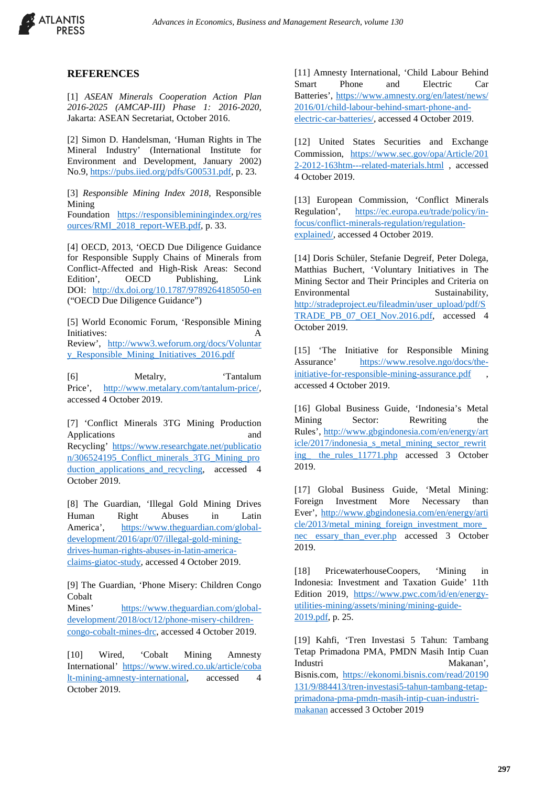

#### **REFERENCES**

[1] *ASEAN Minerals Cooperation Action Plan 2016-2025 (AMCAP-III) Phase 1: 2016-2020*, Jakarta: ASEAN Secretariat, October 2016.

[2] Simon D. Handelsman, 'Human Rights in The Mineral Industry' (International Institute for Environment and Development, January 2002) No.9[, https://pubs.iied.org/pdfs/G00531.pdf,](https://pubs.iied.org/pdfs/G00531.pdf) p. 23.

[3] *Responsible Mining Index 2018*, Responsible Mining

Foundation [https://responsibleminingindex.org/res](https://responsibleminingindex.org/resources/RMI_2018_report-WEB.pdf) [ources/RMI\\_2018\\_report-WEB.pdf,](https://responsibleminingindex.org/resources/RMI_2018_report-WEB.pdf) p. 33.

[4] OECD, 2013, 'OECD Due Diligence Guidance for Responsible Supply Chains of Minerals from Conflict-Affected and High-Risk Areas: Second Edition', OECD Publishing, Link DOI: <http://dx.doi.org/10.1787/9789264185050-en> ("OECD Due Diligence Guidance")

[5] World Economic Forum, 'Responsible Mining Initiatives<sup>.</sup> Review', [http://www3.weforum.org/docs/Voluntar](http://www3.weforum.org/docs/Voluntary_Responsible_Mining_Initiatives_2016.pdf) [y\\_Responsible\\_Mining\\_Initiatives\\_2016.pdf](http://www3.weforum.org/docs/Voluntary_Responsible_Mining_Initiatives_2016.pdf)

[6] Metalry, 'Tantalum Price', [http://www.metalary.com/tantalum-price/,](http://www.metalary.com/tantalum-price/)  accessed 4 October 2019.

[7] 'Conflict Minerals 3TG Mining Production Applications and Recycling' [https://www.researchgate.net/publicatio](https://www.researchgate.net/publication/306524195_Conflict_minerals_3TG_Mining_production_applications_and_recycling) [n/306524195\\_Conflict\\_minerals\\_3TG\\_Mining\\_pro](https://www.researchgate.net/publication/306524195_Conflict_minerals_3TG_Mining_production_applications_and_recycling) duction applications and recycling, accessed 4 October 2019.

[8] The Guardian, 'Illegal Gold Mining Drives Human Right Abuses in Latin America', [https://www.theguardian.com/global](https://www.theguardian.com/global-development/2016/apr/07/illegal-gold-mining-drives-human-rights-abuses-in-latin-america-claims-giatoc-study)[development/2016/apr/07/illegal-gold-mining](https://www.theguardian.com/global-development/2016/apr/07/illegal-gold-mining-drives-human-rights-abuses-in-latin-america-claims-giatoc-study)[drives-human-rights-abuses-in-latin-america](https://www.theguardian.com/global-development/2016/apr/07/illegal-gold-mining-drives-human-rights-abuses-in-latin-america-claims-giatoc-study)[claims-giatoc-study,](https://www.theguardian.com/global-development/2016/apr/07/illegal-gold-mining-drives-human-rights-abuses-in-latin-america-claims-giatoc-study) accessed 4 October 2019.

[9] The Guardian, 'Phone Misery: Children Congo Cobalt

Mines' [https://www.theguardian.com/global](https://www.theguardian.com/global-development/2018/oct/12/phone-misery-children-congo-cobalt-mines-drc)[development/2018/oct/12/phone-misery-children](https://www.theguardian.com/global-development/2018/oct/12/phone-misery-children-congo-cobalt-mines-drc)[congo-cobalt-mines-drc,](https://www.theguardian.com/global-development/2018/oct/12/phone-misery-children-congo-cobalt-mines-drc) accessed 4 October 2019.

[10] Wired, 'Cobalt Mining Amnesty International' [https://www.wired.co.uk/article/coba](https://www.wired.co.uk/article/cobalt-mining-amnesty-international) [lt-mining-amnesty-international,](https://www.wired.co.uk/article/cobalt-mining-amnesty-international) accessed 4 October 2019.

[11] Amnesty International, 'Child Labour Behind Smart Phone and Electric Car Batteries', [https://www.amnesty.org/en/latest/news/](https://www.amnesty.org/en/latest/news/2016/01/child-labour-behind-smart-phone-and-electric-car-batteries/) [2016/01/child-labour-behind-smart-phone-and](https://www.amnesty.org/en/latest/news/2016/01/child-labour-behind-smart-phone-and-electric-car-batteries/)[electric-car-batteries/,](https://www.amnesty.org/en/latest/news/2016/01/child-labour-behind-smart-phone-and-electric-car-batteries/) accessed 4 October 2019.

[12] United States Securities and Exchange Commission, [https://www.sec.gov/opa/Article/201](https://www.sec.gov/opa/Article/2012-2012-163htm---related-materials.html) [2-2012-163htm---related-materials.html](https://www.sec.gov/opa/Article/2012-2012-163htm---related-materials.html) , accessed 4 October 2019.

[13] European Commission, 'Conflict Minerals Regulation', [https://ec.europa.eu/trade/policy/in](https://ec.europa.eu/trade/policy/in-focus/conflict-minerals-regulation/regulation-explained/)[focus/conflict-minerals-regulation/regulation](https://ec.europa.eu/trade/policy/in-focus/conflict-minerals-regulation/regulation-explained/)[explained/,](https://ec.europa.eu/trade/policy/in-focus/conflict-minerals-regulation/regulation-explained/) accessed 4 October 2019.

[14] Doris Schüler, Stefanie Degreif, Peter Dolega, Matthias Buchert, 'Voluntary Initiatives in The Mining Sector and Their Principles and Criteria on Environmental Sustainability, [http://stradeproject.eu/fileadmin/user\\_upload/pdf/S](http://stradeproject.eu/fileadmin/user_upload/pdf/STRADE_PB_07_OEI_Nov.2016.pdf) [TRADE\\_PB\\_07\\_OEI\\_Nov.2016.pdf,](http://stradeproject.eu/fileadmin/user_upload/pdf/STRADE_PB_07_OEI_Nov.2016.pdf) accessed 4 October 2019.

[15] 'The Initiative for Responsible Mining Assurance' [https://www.resolve.ngo/docs/the](https://www.resolve.ngo/docs/the-initiative-for-responsible-mining-assurance.pdf)[initiative-for-responsible-mining-assurance.pdf](https://www.resolve.ngo/docs/the-initiative-for-responsible-mining-assurance.pdf) , accessed 4 October 2019.

[16] Global Business Guide, 'Indonesia's Metal Mining Sector: Rewriting the Rules', [http://www.gbgindonesia.com/en/energy/art](http://www.gbgindonesia.com/en/energy/article/2017/indonesia_s_metal_mining_sector_rewriting_%20the_rules_11771.php) [icle/2017/indonesia\\_s\\_metal\\_mining\\_sector\\_rewrit](http://www.gbgindonesia.com/en/energy/article/2017/indonesia_s_metal_mining_sector_rewriting_%20the_rules_11771.php) ing the rules 11771.php accessed 3 October 2019.

[17] Global Business Guide, 'Metal Mining: Foreign Investment More Necessary than Ever', [http://www.gbgindonesia.com/en/energy/arti](http://www.gbgindonesia.com/en/energy/article/2013/metal_mining_foreign_investment_more_nec%20essary_than_ever.php) [cle/2013/metal\\_mining\\_foreign\\_investment\\_more\\_](http://www.gbgindonesia.com/en/energy/article/2013/metal_mining_foreign_investment_more_nec%20essary_than_ever.php) [nec essary\\_than\\_ever.php](http://www.gbgindonesia.com/en/energy/article/2013/metal_mining_foreign_investment_more_nec%20essary_than_ever.php) accessed 3 October 2019.

[18] PricewaterhouseCoopers, 'Mining in Indonesia: Investment and Taxation Guide' 11th Edition 2019, [https://www.pwc.com/id/en/energy](https://www.pwc.com/id/en/energy-utilities-mining/assets/mining/mining-guide-2019.pdf)[utilities-mining/assets/mining/mining-guide-](https://www.pwc.com/id/en/energy-utilities-mining/assets/mining/mining-guide-2019.pdf)[2019.pdf,](https://www.pwc.com/id/en/energy-utilities-mining/assets/mining/mining-guide-2019.pdf) p. 25.

[19] Kahfi, 'Tren Investasi 5 Tahun: Tambang Tetap Primadona PMA, PMDN Masih Intip Cuan Industri Makanan', Bisnis.com, [https://ekonomi.bisnis.com/read/20190](https://ekonomi.bisnis.com/read/20190131/9/884413/tren-investasi5-tahun-tambang-tetap-primadona-pma-pmdn-masih-intip-cuan-industri-makanan) [131/9/884413/tren-investasi5-tahun-tambang-tetap](https://ekonomi.bisnis.com/read/20190131/9/884413/tren-investasi5-tahun-tambang-tetap-primadona-pma-pmdn-masih-intip-cuan-industri-makanan)[primadona-pma-pmdn-masih-intip-cuan-industri](https://ekonomi.bisnis.com/read/20190131/9/884413/tren-investasi5-tahun-tambang-tetap-primadona-pma-pmdn-masih-intip-cuan-industri-makanan)[makanan](https://ekonomi.bisnis.com/read/20190131/9/884413/tren-investasi5-tahun-tambang-tetap-primadona-pma-pmdn-masih-intip-cuan-industri-makanan) accessed 3 October 2019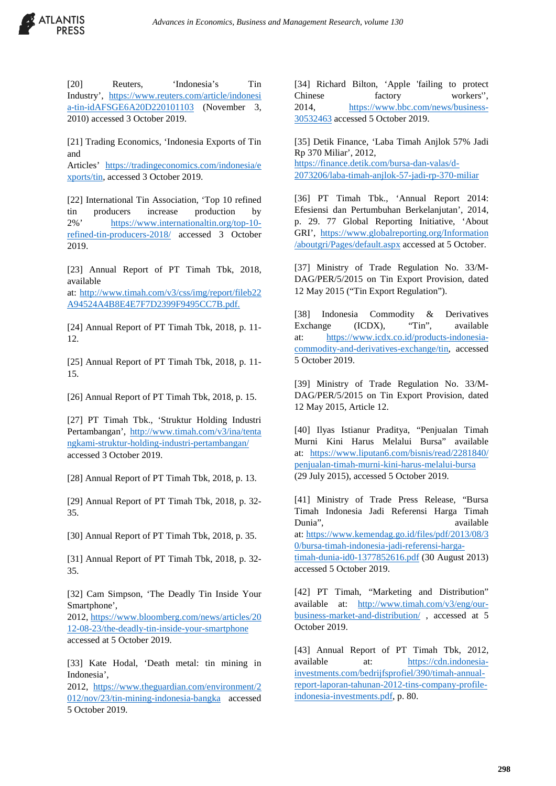

[20] Reuters, 'Indonesia's Tin Industry', [https://www.reuters.com/article/indonesi](https://www.reuters.com/article/indonesia-tin-idAFSGE6A20D220101103) [a-tin-idAFSGE6A20D220101103](https://www.reuters.com/article/indonesia-tin-idAFSGE6A20D220101103) (November 3, 2010) accessed 3 October 2019.

[21] Trading Economics, 'Indonesia Exports of Tin and

Articles' [https://tradingeconomics.com/indonesia/e](https://tradingeconomics.com/indonesia/exports/tin) [xports/tin,](https://tradingeconomics.com/indonesia/exports/tin) accessed 3 October 2019.

[22] International Tin Association, 'Top 10 refined tin producers increase production by 2%' [https://www.internationaltin.org/top-10](https://www.internationaltin.org/top-10-refined-tin-producers-2018/) [refined-tin-producers-2018/](https://www.internationaltin.org/top-10-refined-tin-producers-2018/) accessed 3 October 2019.

[23] Annual Report of PT Timah Tbk, 2018, available

at: [http://www.timah.com/v3/css/img/report/fileb22](http://www.timah.com/v3/css/img/report/fileb22A94524A4B8E4E7F7D2399F9495CC7B.pdf) [A94524A4B8E4E7F7D2399F9495CC7B.pdf.](http://www.timah.com/v3/css/img/report/fileb22A94524A4B8E4E7F7D2399F9495CC7B.pdf)

[24] Annual Report of PT Timah Tbk, 2018, p. 11-12.

[25] Annual Report of PT Timah Tbk, 2018, p. 11- 15.

[26] Annual Report of PT Timah Tbk, 2018, p. 15.

[27] PT Timah Tbk., 'Struktur Holding Industri Pertambangan', [http://www.timah.com/v3/ina/tenta](http://www.timah.com/v3/ina/tentangkami-struktur-holding-industri-pertambangan/) [ngkami-struktur-holding-industri-pertambangan/](http://www.timah.com/v3/ina/tentangkami-struktur-holding-industri-pertambangan/) accessed 3 October 2019.

[28] Annual Report of PT Timah Tbk, 2018, p. 13.

[29] Annual Report of PT Timah Tbk, 2018, p. 32-35.

[30] Annual Report of PT Timah Tbk, 2018, p. 35.

[31] Annual Report of PT Timah Tbk, 2018, p. 32- 35.

[32] Cam Simpson, 'The Deadly Tin Inside Your Smartphone',

2012, [https://www.bloomberg.com/news/articles/20](https://www.bloomberg.com/news/articles/2012-08-23/the-deadly-tin-inside-your-smartphone) [12-08-23/the-deadly-tin-inside-your-smartphone](https://www.bloomberg.com/news/articles/2012-08-23/the-deadly-tin-inside-your-smartphone) accessed at 5 October 2019.

[33] Kate Hodal, 'Death metal: tin mining in Indonesia',

2012, [https://www.theguardian.com/environment/2](https://www.theguardian.com/environment/2012/nov/23/tin-mining-indonesia-bangka) [012/nov/23/tin-mining-indonesia-bangka](https://www.theguardian.com/environment/2012/nov/23/tin-mining-indonesia-bangka) accessed 5 October 2019.

[34] Richard Bilton, 'Apple 'failing to protect Chinese factory workers'', 2014, [https://www.bbc.com/news/business-](https://www.bbc.com/news/business-30532463)[30532463](https://www.bbc.com/news/business-30532463) accessed 5 October 2019.

[35] Detik Finance, 'Laba Timah Anjlok 57% Jadi Rp 370 Miliar', 2012, [https://finance.detik.com/bursa-dan-valas/d-](https://finance.detik.com/bursa-dan-valas/d-2073206/laba-timah-anjlok-57-jadi-rp-370-miliar)[2073206/laba-timah-anjlok-57-jadi-rp-370-miliar](https://finance.detik.com/bursa-dan-valas/d-2073206/laba-timah-anjlok-57-jadi-rp-370-miliar)

[36] PT Timah Tbk., 'Annual Report 2014: Efesiensi dan Pertumbuhan Berkelanjutan', 2014, p. 29. 77 Global Reporting Initiative, 'About GRI', [https://www.globalreporting.org/Information](https://www.globalreporting.org/Information/aboutgri/Pages/default.aspx) [/aboutgri/Pages/default.aspx](https://www.globalreporting.org/Information/aboutgri/Pages/default.aspx) accessed at 5 October.

[37] Ministry of Trade Regulation No. 33/M-DAG/PER/5/2015 on Tin Export Provision, dated 12 May 2015 ("Tin Export Regulation").

[38] Indonesia Commodity & Derivatives Exchange (ICDX), "Tin", available at: [https://www.icdx.co.id/products-indonesia](https://www.icdx.co.id/products-indonesia-commodity-and-derivatives-exchange/tin)[commodity-and-derivatives-exchange/tin,](https://www.icdx.co.id/products-indonesia-commodity-and-derivatives-exchange/tin) accessed 5 October 2019.

[39] Ministry of Trade Regulation No. 33/M-DAG/PER/5/2015 on Tin Export Provision, dated 12 May 2015, Article 12.

[40] Ilyas Istianur Praditya, "Penjualan Timah Murni Kini Harus Melalui Bursa" available at: [https://www.liputan6.com/bisnis/read/2281840/](https://www.liputan6.com/bisnis/read/2281840/penjualan-timah-murni-kini-harus-melalui-bursa) [penjualan-timah-murni-kini-harus-melalui-bursa](https://www.liputan6.com/bisnis/read/2281840/penjualan-timah-murni-kini-harus-melalui-bursa) (29 July 2015), accessed 5 October 2019.

[41] Ministry of Trade Press Release, "Bursa Timah Indonesia Jadi Referensi Harga Timah Dunia", available available at: [https://www.kemendag.go.id/files/pdf/2013/08/3](https://www.kemendag.go.id/files/pdf/2013/08/30/bursa-timah-indonesia-jadi-referensi-harga-timah-dunia-id0-1377852616.pdf) [0/bursa-timah-indonesia-jadi-referensi-harga](https://www.kemendag.go.id/files/pdf/2013/08/30/bursa-timah-indonesia-jadi-referensi-harga-timah-dunia-id0-1377852616.pdf)[timah-dunia-id0-1377852616.pdf](https://www.kemendag.go.id/files/pdf/2013/08/30/bursa-timah-indonesia-jadi-referensi-harga-timah-dunia-id0-1377852616.pdf) (30 August 2013) accessed 5 October 2019.

[42] PT Timah, "Marketing and Distribution" available at: [http://www.timah.com/v3/eng/our](http://www.timah.com/v3/eng/our-business-market-and-distribution/)[business-market-and-distribution/](http://www.timah.com/v3/eng/our-business-market-and-distribution/) , accessed at 5 October 2019.

[43] Annual Report of PT Timah Tbk, 2012, available at: [https://cdn.indonesia](https://cdn.indonesia-investments.com/bedrijfsprofiel/390/timah-annual-report-laporan-tahunan-2012-tins-company-profile-indonesia-investments.pdf)[investments.com/bedrijfsprofiel/390/timah-annual](https://cdn.indonesia-investments.com/bedrijfsprofiel/390/timah-annual-report-laporan-tahunan-2012-tins-company-profile-indonesia-investments.pdf)[report-laporan-tahunan-2012-tins-company-profile](https://cdn.indonesia-investments.com/bedrijfsprofiel/390/timah-annual-report-laporan-tahunan-2012-tins-company-profile-indonesia-investments.pdf)[indonesia-investments.pdf,](https://cdn.indonesia-investments.com/bedrijfsprofiel/390/timah-annual-report-laporan-tahunan-2012-tins-company-profile-indonesia-investments.pdf) p. 80.